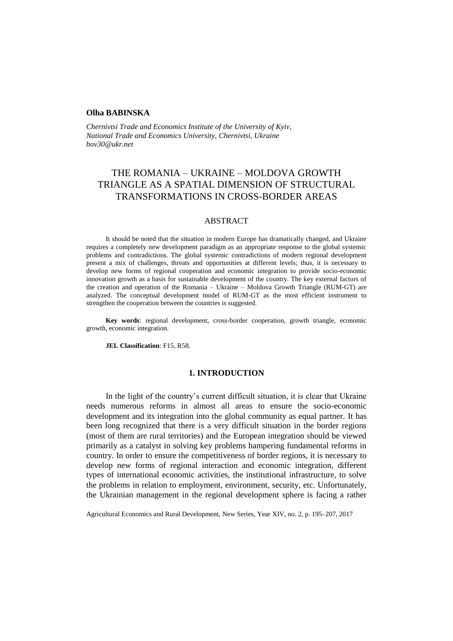### **Olha BABINSKA**

*Chernivtsi Trade and Economics Institute of the University of Kyiv, National Trade and Economics University, Chernivtsi, Ukraine bov30@ukr.net*

# THE ROMANIA – UKRAINE – MOLDOVA GROWTH TRIANGLE AS A SPATIAL DIMENSION OF STRUCTURAL TRANSFORMATIONS IN CROSS-BORDER AREAS

## ABSTRACT

It should be noted that the situation in modern Europe has dramatically changed, and Ukraine requires a completely new development paradigm as an appropriate response to the global systemic problems and contradictions. The global systemic contradictions of modern regional development present a mix of challenges, threats and opportunities at different levels; thus, it is necessary to develop new forms of regional cooperation and economic integration to provide socio-economic innovation growth as a basis for sustainable development of the country. The key external factors of the creation and operation of the Romania – Ukraine – Moldova Growth Triangle (RUM-GT) are analyzed. The conceptual development model of RUM-GT as the most efficient instrument to strengthen the cooperation between the countries is suggested.

**Key words**: regional development, cross-border cooperation, growth triangle, economic growth, economic integration.

**JEL Classification**: F15, R58.

# **1. INTRODUCTION**

In the light of the country's current difficult situation, it is clear that Ukraine needs numerous reforms in almost all areas to ensure the socio-economic development and its integration into the global community as equal partner. It has been long recognized that there is a very difficult situation in the border regions (most of them are rural territories) and the European integration should be viewed primarily as a catalyst in solving key problems hampering fundamental reforms in country. In order to ensure the competitiveness of border regions, it is necessary to develop new forms of regional interaction and economic integration, different types of international economic activities, the institutional infrastructure, to solve the problems in relation to employment, environment, security, etc. Unfortunately, the Ukrainian management in the regional development sphere is facing a rather

Agricultural Economics and Rural Development, New Series, Year XIV, no. 2, p. 195–207, 2017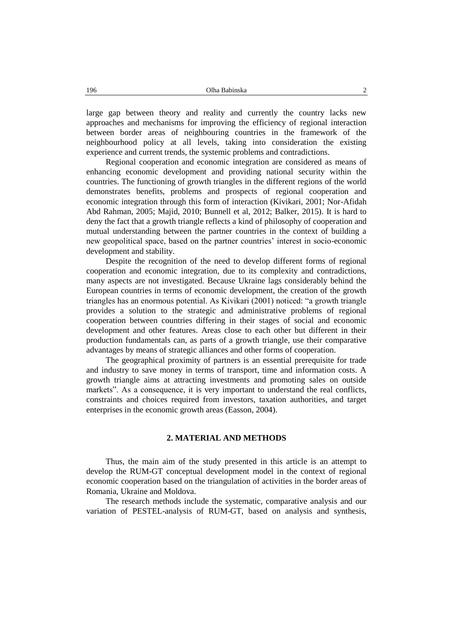large gap between theory and reality and currently the country lacks new approaches and mechanisms for improving the efficiency of regional interaction between border areas of neighbouring countries in the framework of the neighbourhood policy at all levels, taking into consideration the existing experience and current trends, the systemic problems and contradictions.

Regional cooperation and economic integration are considered as means of enhancing economic development and providing national security within the countries. The functioning of growth triangles in the different regions of the world demonstrates benefits, problems and prospects of regional cooperation and economic integration through this form of interaction (Kivikari, 2001; Nor-Afidah Abd Rahman, 2005; Majid, 2010; Bunnell et al, 2012; Balker, 2015). It is hard to deny the fact that a growth triangle reflects a kind of philosophy of cooperation and mutual understanding between the partner countries in the context of building a new geopolitical space, based on the partner countries' interest in socio-economic development and stability.

Despite the recognition of the need to develop different forms of regional cooperation and economic integration, due to its complexity and contradictions, many aspects are not investigated. Because Ukraine lags considerably behind the European countries in terms of economic development, the creation of the growth triangles has an enormous potential. As Kivikari (2001) noticed: "a growth triangle provides a solution to the strategic and administrative problems of regional cooperation between countries differing in their stages of social and economic development and other features. Areas close to each other but different in their production fundamentals can, as parts of a growth triangle, use their comparative advantages by means of strategic alliances and other forms of cooperation.

The geographical proximity of partners is an essential prerequisite for trade and industry to save money in terms of transport, time and information costs. A growth triangle aims at attracting investments and promoting sales on outside markets". As a consequence, it is very important to understand the real conflicts, constraints and choices required from investors, taxation authorities, and target enterprises in the economic growth areas (Easson, 2004).

# **2. MATERIAL AND METHODS**

Thus, the main aim of the study presented in this article is an attempt to develop the RUM-GT conceptual development model in the context of regional economic cooperation based on the triangulation of activities in the border areas of Romania, Ukraine and Moldova.

The research methods include the systematic, comparative analysis and our variation of PESTEL-analysis of RUM-GT, based on analysis and synthesis,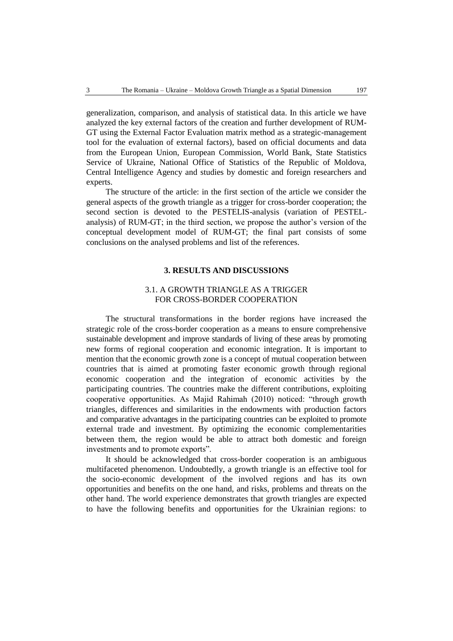generalization, comparison, and analysis of statistical data. In this article we have analyzed the key external factors of the creation and further development of RUM-GT using the External Factor Evaluation matrix method as a strategic-management tool for the evaluation of external factors), based on official documents and data from the European Union, European Commission, World Bank, State Statistics Service of Ukraine, National Office of Statistics of the Republic of Moldova, Central Intelligence Agency and studies by domestic and foreign researchers and experts.

The structure of the article: in the first section of the article we consider the general aspects of the growth triangle as a trigger for cross-border cooperation; the second section is devoted to the PESTELIS-analysis (variation of PESTELanalysis) of RUM-GT; in the third section, we propose the author's version of the conceptual development model of RUM-GT; the final part consists of some conclusions on the analysed problems and list of the references.

# **3. RESULTS AND DISCUSSIONS**

# 3.1. A GROWTH TRIANGLE AS A TRIGGER FOR CROSS-BORDER COOPERATION

The structural transformations in the border regions have increased the strategic role of the cross-border cooperation as a means to ensure comprehensive sustainable development and improve standards of living of these areas by promoting new forms of regional cooperation and economic integration. It is important to mention that the economic growth zone is a concept of mutual cooperation between countries that is aimed at promoting faster economic growth through regional economic cooperation and the integration of economic activities by the participating countries. The countries make the different contributions, exploiting cooperative opportunities. As Majid Rahimah (2010) noticed: "through growth triangles, differences and similarities in the endowments with production factors and comparative advantages in the participating countries can be exploited to promote external trade and investment. By optimizing the economic complementarities between them, the region would be able to attract both domestic and foreign investments and to promote exports".

It should be acknowledged that cross-border cooperation is an ambiguous multifaceted phenomenon. Undoubtedly, a growth triangle is an effective tool for the socio-economic development of the involved regions and has its own opportunities and benefits on the one hand, and risks, problems and threats on the other hand. The world experience demonstrates that growth triangles are expected to have the following benefits and opportunities for the Ukrainian regions: to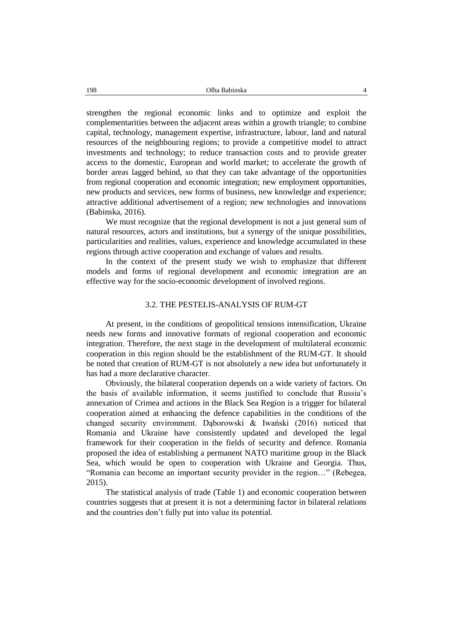strengthen the regional economic links and to optimize and exploit the complementarities between the adjacent areas within a growth triangle; to combine capital, technology, management expertise, infrastructure, labour, land and natural resources of the neighbouring regions; to provide a competitive model to attract investments and technology; to reduce transaction costs and to provide greater access to the domestic, European and world market; to accelerate the growth of border areas lagged behind, so that they can take advantage of the opportunities from regional cooperation and economic integration; new employment opportunities, new products and services, new forms of business, new knowledge and experience; attractive additional advertisement of a region; new technologies and innovations (Babinska, 2016).

We must recognize that the regional development is not a just general sum of natural resources, actors and institutions, but a synergy of the unique possibilities, particularities and realities, values, experience and knowledge accumulated in these regions through active cooperation and exchange of values and results.

In the context of the present study we wish to emphasize that different models and forms of regional development and economic integration are an effective way for the socio-economic development of involved regions.

# 3.2. THE PESTELIS-ANALYSIS OF RUM-GT

At present, in the conditions of geopolitical tensions intensification, Ukraine needs new forms and innovative formats of regional cooperation and economic integration. Therefore, the next stage in the development of multilateral economic cooperation in this region should be the establishment of the RUM-GT. It should be noted that creation of RUM-GT is not absolutely a new idea but unfortunately it has had a more declarative character.

Obviously, the bilateral cooperation depends on a wide variety of factors. On the basis of available information, it seems justified to conclude that Russia's annexation of Crimea and actions in the Black Sea Region is a trigger for bilateral cooperation aimed at enhancing the defence capabilities in the conditions of the changed security environment. Dąborowski & Iwański (2016) noticed that Romania and Ukraine have consistently updated and developed the legal framework for their cooperation in the fields of security and defence. Romania proposed the idea of establishing a permanent NATO maritime group in the Black Sea, which would be open to cooperation with Ukraine and Georgia. Thus, "Romania can become an important security provider in the region…" (Rebegea, 2015).

The statistical analysis of trade (Table 1) and economic cooperation between countries suggests that at present it is not a determining factor in bilateral relations and the countries don't fully put into value its potential.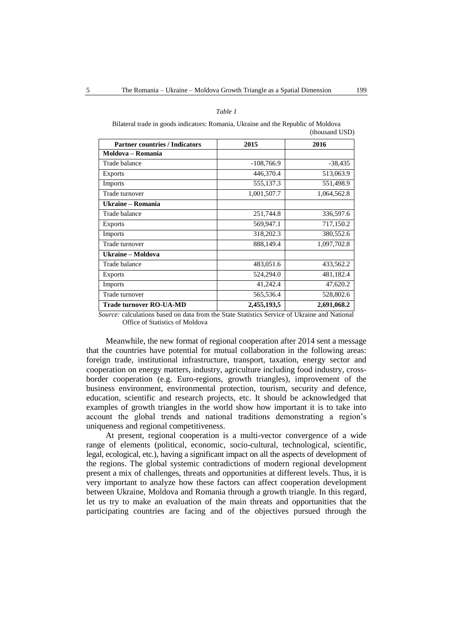#### *Table 1*

| Bilateral trade in goods indicators: Romania, Ukraine and the Republic of Moldova |                |
|-----------------------------------------------------------------------------------|----------------|
|                                                                                   | (thousand USD) |

| <b>Partner countries / Indicators</b> | 2015         | 2016        |
|---------------------------------------|--------------|-------------|
| Moldova - Romania                     |              |             |
| Trade balance                         | $-108,766.9$ | $-38,435$   |
| <b>Exports</b>                        | 446,370.4    | 513,063.9   |
| <b>Imports</b>                        | 555,137.3    | 551,498.9   |
| Trade turnover                        | 1,001,507.7  | 1,064,562.8 |
| Ukraine – Romania                     |              |             |
| Trade balance                         | 251,744.8    | 336,597.6   |
| <b>Exports</b>                        | 569,947.1    | 717,150.2   |
| <b>Imports</b>                        | 318,202.3    | 380,552.6   |
| Trade turnover                        | 888,149.4    | 1,097,702.8 |
| Ukraine – Moldova                     |              |             |
| Trade balance                         | 483,051.6    | 433,562.2   |
| Exports                               | 524,294.0    | 481,182.4   |
| <b>Imports</b>                        | 41,242.4     | 47,620.2    |
| Trade turnover                        | 565,536.4    | 528,802.6   |
| <b>Trade turnover RO-UA-MD</b>        | 2,455,193,5  | 2,691,068.2 |

*Source:* calculations based on data from the State Statistics Service of Ukraine and National Office of Statistics of Moldova

Meanwhile, the new format of regional cooperation after 2014 sent a message that the countries have potential for mutual collaboration in the following areas: foreign trade, institutional infrastructure, transport, taxation, energy sector and cooperation on energy matters, industry, agriculture including food industry, crossborder cooperation (e.g. Euro-regions, growth triangles), improvement of the business environment, environmental protection, tourism, security and defence, education, scientific and research projects, etc. It should be acknowledged that examples of growth triangles in the world show how important it is to take into account the global trends and national traditions demonstrating a region's uniqueness and regional competitiveness.

At present, regional cooperation is a multi-vector convergence of a wide range of elements (political, economic, socio-cultural, technological, scientific, legal, ecological, etc.), having a significant impact on all the aspects of development of the regions. The global systemic contradictions of modern regional development present a mix of challenges, threats and opportunities at different levels. Thus, it is very important to analyze how these factors can affect cooperation development between Ukraine, Moldova and Romania through a growth triangle. In this regard, let us try to make an evaluation of the main threats and opportunities that the participating countries are facing and of the objectives pursued through the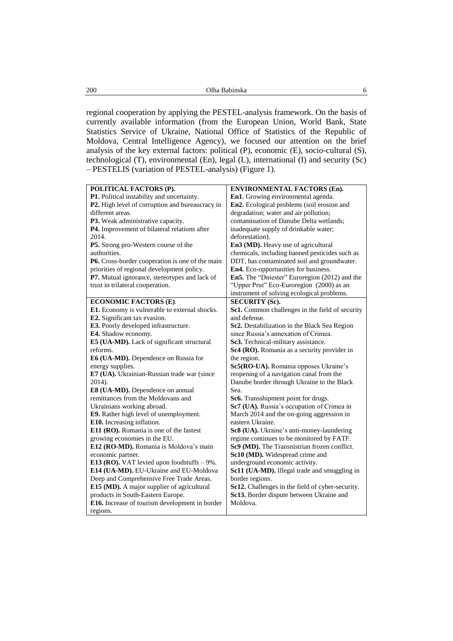regional cooperation by applying the PESTEL-analysis framework. On the basis of currently available information (from the European Union, World Bank, State Statistics Service of Ukraine, National Office of Statistics of the Republic of Moldova, Central Intelligence Agency), we focused our attention on the brief analysis of the key external factors: political (P), economic (E), socio-cultural (S), technological (T), environmental (En), legal (L), international (I) and security (Sc) – PESTELIS (variation of PESTEL-analysis) (Figure 1).

| POLITICAL FACTORS (P).                          | <b>ENVIRONMENTAL FACTORS (En).</b>               |
|-------------------------------------------------|--------------------------------------------------|
| P1. Political instability and uncertainty.      | En1. Growing environmental agenda.               |
| P2. High level of corruption and bureaucracy in | En2. Ecological problems (soil erosion and       |
| different areas.                                | degradation; water and air pollution;            |
| P3. Weak administrative capacity.               | contamination of Danube Delta wetlands;          |
| P4. Improvement of bilateral relations after    | inadequate supply of drinkable water;            |
| 2014.                                           | deforestation).                                  |
| P5. Strong pro-Western course of the            | En3 (MD). Heavy use of agricultural              |
| authorities.                                    | chemicals, including banned pesticides such as   |
| P6. Cross-border cooperation is one of the main | DDT, has contaminated soil and groundwater.      |
| priorities of regional development policy.      | En4. Eco-opportunities for business.             |
| P7. Mutual ignorance, stereotypes and lack of   | En5. The "Dniester" Euroregion (2012) and the    |
| trust in trilateral cooperation.                | "Upper Prut" Eco-Euroregion (2000) as an         |
|                                                 | instrument of solving ecological problems.       |
| <b>ECONOMIC FACTORS (E).</b>                    | <b>SECURITY (Sc).</b>                            |
| E1. Economy is vulnerable to external shocks.   | Sc1. Common challenges in the field of security  |
| E2. Significant tax evasion.                    | and defense.                                     |
| E3. Poorly developed infrastructure.            | Sc2. Destabilization in the Black Sea Region     |
| E4. Shadow economy.                             | since Russia's annexation of Crimea.             |
| E5 (UA-MD). Lack of significant structural      | Sc3. Technical-military assistance.              |
| reforms.                                        | Sc4 (RO). Romania as a security provider in      |
| E6 (UA-MD). Dependence on Russia for            | the region.                                      |
| energy supplies.                                | Sc5(RO-UA). Romania opposes Ukraine's            |
| E7 (UA). Ukrainian-Russian trade war (since     | reopening of a navigation canal from the         |
| 2014).                                          | Danube border through Ukraine to the Black       |
| E8 (UA-MD). Dependence on annual                | Sea.                                             |
| remittances from the Moldovans and              | Sc6. Transshipment point for drugs.              |
| Ukrainians working abroad.                      | Sc7 (UA). Russia's occupation of Crimea in       |
| E9. Rather high level of unemployment.          | March 2014 and the on-going aggression in        |
| E10. Increasing inflation.                      | eastern Ukraine.                                 |
| E11 (RO). Romania is one of the fastest         | Sc8 (UA). Ukraine's anti-money-laundering        |
| growing economies in the EU.                    | regime continues to be monitored by FATF.        |
| E12 (RO-MD). Romania is Moldova's main          | Sc9 (MD). The Transnistrian frozen conflict.     |
| economic partner.                               | Sc10 (MD). Widespread crime and                  |
| E13 (RO). VAT levied upon foodstuffs $-9\%$ .   | underground economic activity.                   |
| E14 (UA-MD). EU-Ukraine and EU-Moldova          | Sc11 (UA-MD). Illegal trade and smuggling in     |
| Deep and Comprehensive Free Trade Areas.        | border regions.                                  |
| E15 (MD). A major supplier of agricultural      | Sc12. Challenges in the field of cyber-security. |
| products in South-Eastern Europe.               | Sc13. Border dispute between Ukraine and         |
| E16. Increase of tourism development in border  | Moldova.                                         |
| regions.                                        |                                                  |
|                                                 |                                                  |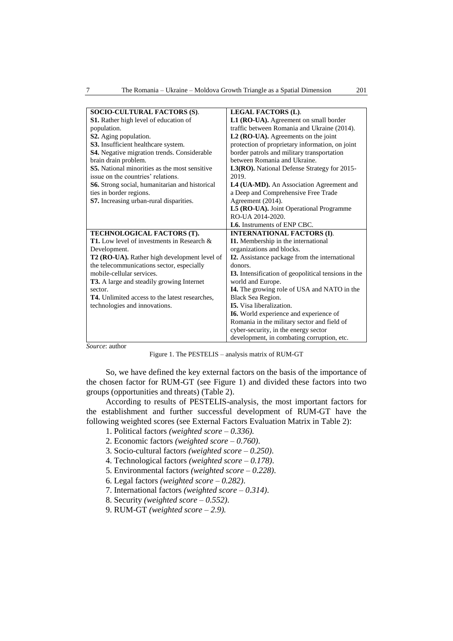| SOCIO-CULTURAL FACTORS (S).                           | <b>LEGAL FACTORS (L).</b>                                  |
|-------------------------------------------------------|------------------------------------------------------------|
| S1. Rather high level of education of                 | L1 (RO-UA). Agreement on small border                      |
| population.                                           | traffic between Romania and Ukraine (2014).                |
| S2. Aging population.                                 | L2 (RO-UA). Agreements on the joint                        |
| S3. Insufficient healthcare system.                   | protection of proprietary information, on joint            |
| S4. Negative migration trends. Considerable           | border patrols and military transportation                 |
| brain drain problem.                                  | between Romania and Ukraine.                               |
| <b>S5.</b> National minorities as the most sensitive  | L3(RO). National Defense Strategy for 2015-                |
| issue on the countries' relations.                    | 2019.                                                      |
| <b>S6.</b> Strong social, humanitarian and historical | L4 (UA-MD). An Association Agreement and                   |
| ties in border regions.                               | a Deep and Comprehensive Free Trade                        |
| S7. Increasing urban-rural disparities.               | Agreement (2014).                                          |
|                                                       | L5 (RO-UA). Joint Operational Programme                    |
|                                                       | RO-UA 2014-2020.                                           |
|                                                       | <b>L6.</b> Instruments of ENP CBC.                         |
| TECHNOLOGICAL FACTORS (T).                            | <b>INTERNATIONAL FACTORS (I).</b>                          |
| <b>T1.</b> Low level of investments in Research $\&$  | I1. Membership in the international                        |
| Development.                                          | organizations and blocks.                                  |
| T2 (RO-UA). Rather high development level of          | I2. Assistance package from the international              |
| the telecommunications sector, especially             | donors.                                                    |
| mobile-cellular services.                             | <b>I3.</b> Intensification of geopolitical tensions in the |
| <b>T3.</b> A large and steadily growing Internet      | world and Europe.                                          |
| sector.                                               | I4. The growing role of USA and NATO in the                |
| <b>T4.</b> Unlimited access to the latest researches. | Black Sea Region.                                          |
| technologies and innovations.                         | <b>I5.</b> Visa liberalization.                            |
|                                                       | <b>I6.</b> World experience and experience of              |
|                                                       | Romania in the military sector and field of                |
|                                                       | cyber-security, in the energy sector                       |
| $\sim$<br>$\cdot$ 1                                   | development, in combating corruption, etc.                 |

*Source*: author

Figure 1. The PESTELIS – analysis matrix of RUM-GT

So, we have defined the key external factors on the basis of the importance of the chosen factor for RUM-GT (see Figure 1) and divided these factors into two groups (opportunities and threats) (Table 2).

According to results of PESTELIS-analysis, the most important factors for the establishment and further successful development of RUM-GT have the following weighted scores (see External Factors Evaluation Matrix in Table 2):

- 1. Political factors *(weighted score – 0.336).*
- 2. Economic factors *(weighted score – 0.760)*.
- 3. Socio-cultural factors *(weighted score – 0.250)*.
- 4. Technological factors *(weighted score – 0.178)*.
- 5. Environmental factors *(weighted score – 0.228)*.
- 6. Legal factors *(weighted score – 0.282)*.
- 7. International factors *(weighted score – 0.314)*.
- 8. Security *(weighted score – 0.552)*.
- 9. RUM-GT *(weighted score – 2.9).*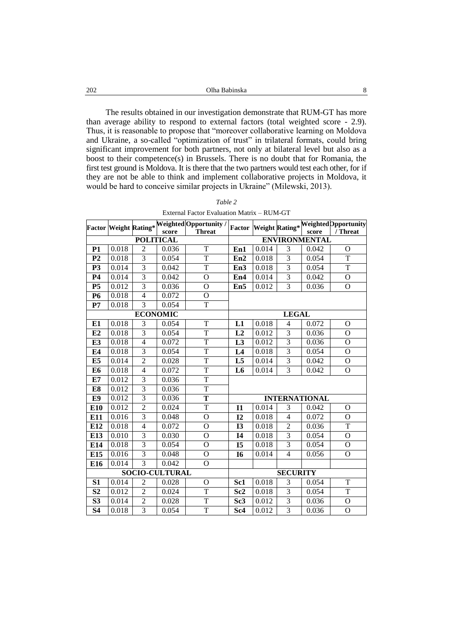| 202 | Olha Babinska |
|-----|---------------|
|     |               |

The results obtained in our investigation demonstrate that RUM-GT has more than average ability to respond to external factors (total weighted score - 2.9). Thus, it is reasonable to propose that "moreover collaborative learning on Moldova and Ukraine, a so-called "optimization of trust" in trilateral formats, could bring significant improvement for both partners, not only at bilateral level but also as a boost to their competence(s) in Brussels. There is no doubt that for Romania, the first test ground is Moldova. It is there that the two partners would test each other, for if they are not be able to think and implement collaborative projects in Moldova, it would be hard to conceive similar projects in Ukraine" (Milewski, 2013).

|                       |       |                  |       | Factor Weight Rating* Weighted Opportunity / | Factor          |                 |                |                      | Weight Rating*Weighted Dpportunity |
|-----------------------|-------|------------------|-------|----------------------------------------------|-----------------|-----------------|----------------|----------------------|------------------------------------|
|                       |       |                  | score | <b>Threat</b>                                |                 |                 |                | score                | / Threat                           |
|                       |       | <b>POLITICAL</b> |       |                                              |                 |                 |                | <b>ENVIRONMENTAL</b> |                                    |
| <b>P1</b>             | 0.018 | $\overline{c}$   | 0.036 | $\overline{T}$                               | En1             | 0.014           | $\overline{3}$ | 0.042                | $\mathbf O$                        |
| P <sub>2</sub>        | 0.018 | 3                | 0.054 | $\overline{T}$                               | En2             | 0.018           | 3              | 0.054                | T                                  |
| <b>P3</b>             | 0.014 | $\overline{3}$   | 0.042 | $\overline{T}$                               | En3             | 0.018           | $\overline{3}$ | 0.054                | $\overline{T}$                     |
| P <sub>4</sub>        | 0.014 | $\overline{3}$   | 0.042 | $\overline{O}$                               | En4             | 0.014           | $\overline{3}$ | 0.042                | O                                  |
| P <sub>5</sub>        | 0.012 | $\overline{3}$   | 0.036 | $\mathbf{O}$                                 | En <sub>5</sub> | 0.012           | $\overline{3}$ | 0.036                | $\overline{O}$                     |
| <b>P6</b>             | 0.018 | $\overline{4}$   | 0.072 | $\overline{O}$                               |                 |                 |                |                      |                                    |
| P7                    | 0.018 | $\overline{3}$   | 0.054 | $\overline{T}$                               |                 |                 |                |                      |                                    |
|                       |       | <b>ECONOMIC</b>  |       |                                              |                 |                 | <b>LEGAL</b>   |                      |                                    |
| E <sub>1</sub>        | 0.018 | 3                | 0.054 | $\overline{T}$                               | L1              | 0.018           | 4              | 0.072                | $\Omega$                           |
| E2                    | 0.018 | 3                | 0.054 | $\overline{T}$                               | L2              | 0.012           | 3              | 0.036                | O                                  |
| E <sub>3</sub>        | 0.018 | $\overline{4}$   | 0.072 | $\overline{T}$                               | L <sub>3</sub>  | 0.012           | $\overline{3}$ | 0.036                | $\mathbf O$                        |
| E <sub>4</sub>        | 0.018 | $\overline{3}$   | 0.054 | $\overline{T}$                               | L4              | 0.018           | $\overline{3}$ | 0.054                | $\overline{O}$                     |
| E <sub>5</sub>        | 0.014 | $\overline{2}$   | 0.028 | T                                            | L5              | 0.014           | $\overline{3}$ | 0.042                | $\overline{O}$                     |
| E <sub>6</sub>        | 0.018 | $\overline{4}$   | 0.072 | $\overline{T}$                               | L <sub>6</sub>  | 0.014           | 3              | 0.042                | $\mathbf O$                        |
| E7                    | 0.012 | $\overline{3}$   | 0.036 | $\overline{T}$                               |                 |                 |                |                      |                                    |
| E8                    | 0.012 | $\overline{3}$   | 0.036 | $\overline{T}$                               |                 |                 |                |                      |                                    |
| E9                    | 0.012 | $\overline{3}$   | 0.036 | $\overline{\text{T}}$                        |                 |                 |                | <b>INTERNATIONAL</b> |                                    |
| E10                   | 0.012 | $\overline{2}$   | 0.024 | $\overline{T}$                               | I1              | 0.014           | 3              | 0.042                | $\overline{O}$                     |
| E11                   | 0.016 | $\overline{3}$   | 0.048 | $\overline{O}$                               | 12              | 0.018           | $\overline{4}$ | 0.072                | $\overline{O}$                     |
| E12                   | 0.018 | $\overline{4}$   | 0.072 | $\overline{O}$                               | <b>I3</b>       | 0.018           | $\overline{2}$ | 0.036                | $\overline{\mathrm{T}}$            |
| E13                   | 0.010 | $\overline{3}$   | 0.030 | $\overline{O}$                               | <b>I4</b>       | 0.018           | $\overline{3}$ | 0.054                | $\overline{O}$                     |
| E14                   | 0.018 | $\overline{3}$   | 0.054 | $\mathbf O$                                  | I5              | 0.018           | 3              | 0.054                | O                                  |
| E15                   | 0.016 | $\overline{3}$   | 0.048 | $\overline{0}$                               | I6              | 0.014           | $\overline{4}$ | 0.056                | $\mathbf O$                        |
| E16                   | 0.014 | $\overline{3}$   | 0.042 | $\overline{O}$                               |                 |                 |                |                      |                                    |
| <b>SOCIO-CULTURAL</b> |       |                  |       |                                              |                 | <b>SECURITY</b> |                |                      |                                    |
| S <sub>1</sub>        | 0.014 | $\overline{2}$   | 0.028 | $\Omega$                                     | Sc1             | 0.018           | $\overline{3}$ | 0.054                | $\overline{\mathrm{T}}$            |
| S <sub>2</sub>        | 0.012 | $\overline{2}$   | 0.024 | $\overline{T}$                               | Sc <sub>2</sub> | 0.018           | 3              | 0.054                | $\overline{T}$                     |
| S <sub>3</sub>        | 0.014 | $\overline{2}$   | 0.028 | $\overline{T}$                               | Sc3             | 0.012           | 3              | 0.036                | O                                  |
| S <sub>4</sub>        | 0.018 | $\overline{3}$   | 0.054 | T                                            | Sc <sub>4</sub> | 0.012           | $\overline{3}$ | 0.036                | $\overline{O}$                     |

| Table 2                                    |
|--------------------------------------------|
| External Factor Evaluation Matrix – RUM-GT |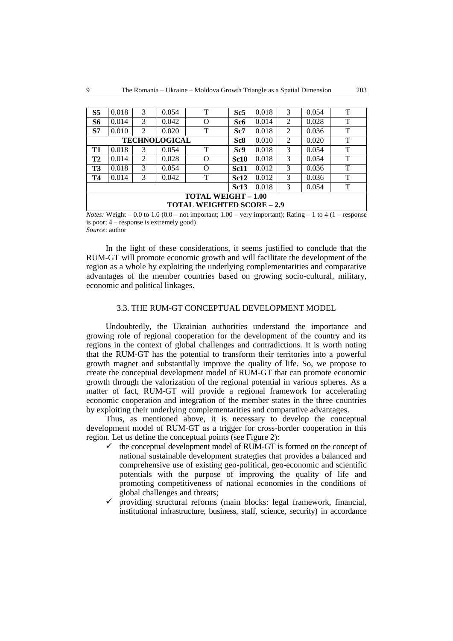| S <sub>5</sub>                                                  | 0.018 | 3 | 0.054 | T               | Sc <sub>5</sub> | 0.018 | 3     | 0.054 | T |
|-----------------------------------------------------------------|-------|---|-------|-----------------|-----------------|-------|-------|-------|---|
| S6                                                              | 0.014 | 3 | 0.042 | O               | Sc <sub>6</sub> | 0.014 | 2     | 0.028 | T |
| S7                                                              | 0.010 | 2 | 0.020 | T               | Sc <sub>7</sub> | 0.018 | 2     | 0.036 | T |
| <b>TECHNOLOGICAL</b>                                            |       |   |       | Sc <sub>8</sub> | 0.010           | 2     | 0.020 | T     |   |
| T1                                                              | 0.018 | 3 | 0.054 | T               | Sc <sub>9</sub> | 0.018 | 3     | 0.054 | T |
| <b>T2</b>                                                       | 0.014 | 2 | 0.028 | O               | <b>Sc10</b>     | 0.018 | 3     | 0.054 | T |
| T <sub>3</sub>                                                  | 0.018 | 3 | 0.054 | O               | <b>Sc11</b>     | 0.012 | 3     | 0.036 | T |
| T4                                                              | 0.014 | 3 | 0.042 | T               | Sc12            | 0.012 | 3     | 0.036 | T |
|                                                                 |       |   |       |                 | <b>Sc13</b>     | 0.018 | 3     | 0.054 | T |
| <b>TOTAL WEIGHT - 1.00</b><br><b>TOTAL WEIGHTED SCORE - 2.9</b> |       |   |       |                 |                 |       |       |       |   |

*Notes:* Weight – 0.0 to 1.0 (0.0 – not important; 1.00 – very important); Rating – 1 to 4 (1 – response is poor; 4 – response is extremely good)

*Source*: author

In the light of these considerations, it seems justified to conclude that the RUM-GT will promote economic growth and will facilitate the development of the region as a whole by exploiting the underlying complementarities and comparative advantages of the member countries based on growing socio-cultural, military, economic and political linkages.

# 3.3. THE RUM-GT CONCEPTUAL DEVELOPMENT MODEL

Undoubtedly, the Ukrainian authorities understand the importance and growing role of regional cooperation for the development of the country and its regions in the context of global challenges and contradictions. It is worth noting that the RUM-GT has the potential to transform their territories into a powerful growth magnet and substantially improve the quality of life. So, we propose to create the conceptual development model of RUM-GT that can promote economic growth through the valorization of the regional potential in various spheres. As a matter of fact, RUM-GT will provide a regional framework for accelerating economic cooperation and integration of the member states in the three countries by exploiting their underlying complementarities and comparative advantages.

Thus, as mentioned above, it is necessary to develop the conceptual development model of RUM-GT as a trigger for cross-border cooperation in this region. Let us define the conceptual points (see Figure 2):

- $\checkmark$  the conceptual development model of RUM-GT is formed on the concept of national sustainable development strategies that provides a balanced and comprehensive use of existing geo-political, geo-economic and scientific potentials with the purpose of improving the quality of life and promoting competitiveness of national economies in the conditions of global challenges and threats;
- providing structural reforms (main blocks: legal framework, financial, institutional infrastructure, business, staff, science, security) in accordance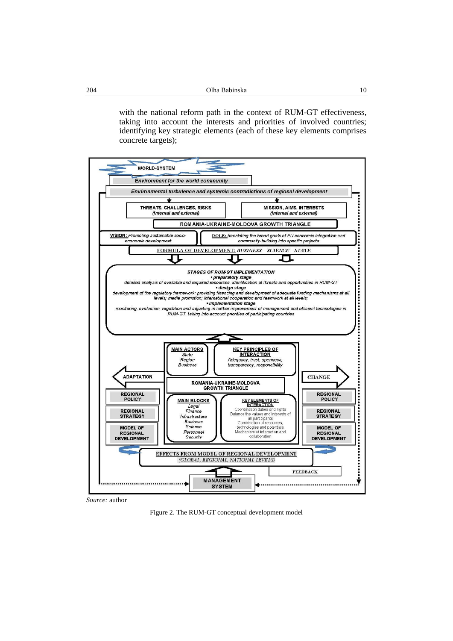| 204 | Olha Babinska<br>$\cdots$ |  |
|-----|---------------------------|--|
|     |                           |  |

with the national reform path in the context of RUM-GT effectiveness, taking into account the interests and priorities of involved countries; identifying key strategic elements (each of these key elements comprises concrete targets);



*Source:* author

Figure 2. The RUM-GT conceptual development model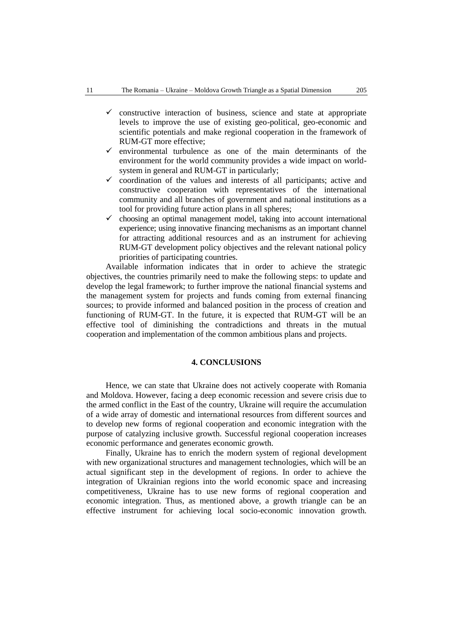- $\checkmark$  constructive interaction of business, science and state at appropriate levels to improve the use of existing geo-political, geo-economic and scientific potentials and make regional cooperation in the framework of RUM-GT more effective;
- $\checkmark$  environmental turbulence as one of the main determinants of the environment for the world community provides a wide impact on worldsystem in general and RUM-GT in particularly;
- $\checkmark$  coordination of the values and interests of all participants; active and constructive cooperation with representatives of the international community and all branches of government and national institutions as a tool for providing future action plans in all spheres;
- $\checkmark$  choosing an optimal management model, taking into account international experience; using innovative financing mechanisms as an important channel for attracting additional resources and as an instrument for achieving RUM-GT development policy objectives and the relevant national policy priorities of participating countries.

Available information indicates that in order to achieve the strategic objectives, the countries primarily need to make the following steps: to update and develop the legal framework; to further improve the national financial systems and the management system for projects and funds coming from external financing sources; to provide informed and balanced position in the process of creation and functioning of RUM-GT. In the future, it is expected that RUM-GT will be an effective tool of diminishing the contradictions and threats in the mutual cooperation and implementation of the common ambitious plans and projects.

# **4. CONCLUSIONS**

Hence, we can state that Ukraine does not actively cooperate with Romania and Moldova. However, facing a deep economic recession and severe crisis due to the armed conflict in the East of the country, Ukraine will require the accumulation of a wide array of domestic and international resources from different sources and to develop new forms of regional cooperation and economic integration with the purpose of catalyzing inclusive growth. Successful regional cooperation increases economic performance and generates economic growth.

Finally, Ukraine has to enrich the modern system of regional development with new organizational structures and management technologies, which will be an actual significant step in the development of regions. In order to achieve the integration of Ukrainian regions into the world economic space and increasing competitiveness, Ukraine has to use new forms of regional cooperation and economic integration. Thus, as mentioned above, a growth triangle can be an effective instrument for achieving local socio-economic innovation growth.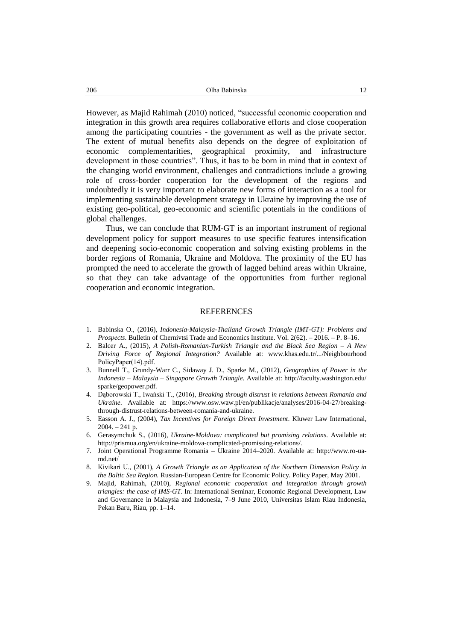However, as Majid Rahimah (2010) noticed, "successful economic cooperation and integration in this growth area requires collaborative efforts and close cooperation among the participating countries - the government as well as the private sector. The extent of mutual benefits also depends on the degree of exploitation of economic complementarities, geographical proximity, and infrastructure development in those countries". Thus, it has to be born in mind that in context of the changing world environment, challenges and contradictions include a growing role of cross-border cooperation for the development of the regions and undoubtedly it is very important to elaborate new forms of interaction as a tool for implementing sustainable development strategy in Ukraine by improving the use of existing geo-political, geo-economic and scientific potentials in the conditions of global challenges.

Thus, we can conclude that RUM-GT is an important instrument of regional development policy for support measures to use specific features intensification and deepening socio-economic cooperation and solving existing problems in the border regions of Romania, Ukraine and Moldova. The proximity of the EU has prompted the need to accelerate the growth of lagged behind areas within Ukraine, so that they can take advantage of the opportunities from further regional cooperation and economic integration.

#### REFERENCES

- 1. Babinska O., (2016), *Indonesia-Malaysia-Thailand Growth Triangle (IMT-GT): Problems and Prospects*. Bulletin of Chernivtsi Trade and Economics Institute. Vol. 2(62). – 2016. – P. 8–16.
- 2. Balcer A., (2015), *A Polish-Romanian-Turkish Triangle and the Black Sea Region – A New Driving Force of Regional Integration?* Available at: www.khas.edu.tr/.../Neighbourhood PolicyPaper(14).pdf.
- 3. Bunnell T., Grundy-Warr C., Sidaway J. D., Sparke M., (2012), *Geographies of Power in the Indonesia – Malaysia – Singapore Growth Triangle.* Available at: http://faculty.washington.edu/ sparke/geopower.pdf.
- 4. Dąborowski T., Iwański T., (2016), *Breaking through distrust in relations between Romania and Ukraine*. Available at: https://www.osw.waw.pl/en/publikacje/analyses/2016-04-27/breakingthrough-distrust-relations-between-romania-and-ukraine.
- 5. Easson A. J., (2004), *Tax Incentives for Foreign Direct Investment*. Kluwer Law International, 2004. – 241 p.
- 6. Gerasymchuk S., (2016), *Ukraine-Moldova: complicated but promising relations.* Available at: http://prismua.org/en/ukraine-moldova-complicated-promissing-relations/.
- 7. Joint Operational Programme Romania Ukraine 2014–2020. Available at: http://www.ro-uamd.net/
- 8. Kivikari U., (2001), *A Growth Triangle as an Application of the Northern Dimension Policy in the Baltic Sea Region.* Russian-European Centre for Economic Policy. Policy Paper, May 2001.
- 9. Majid, Rahimah, (2010), *Regional economic cooperation and integration through growth triangles: the case of IMS-GT*. In: International Seminar, Economic Regional Development, Law and Governance in Malaysia and Indonesia, 7–9 June 2010, Universitas Islam Riau Indonesia, Pekan Baru, Riau, pp. 1–14.